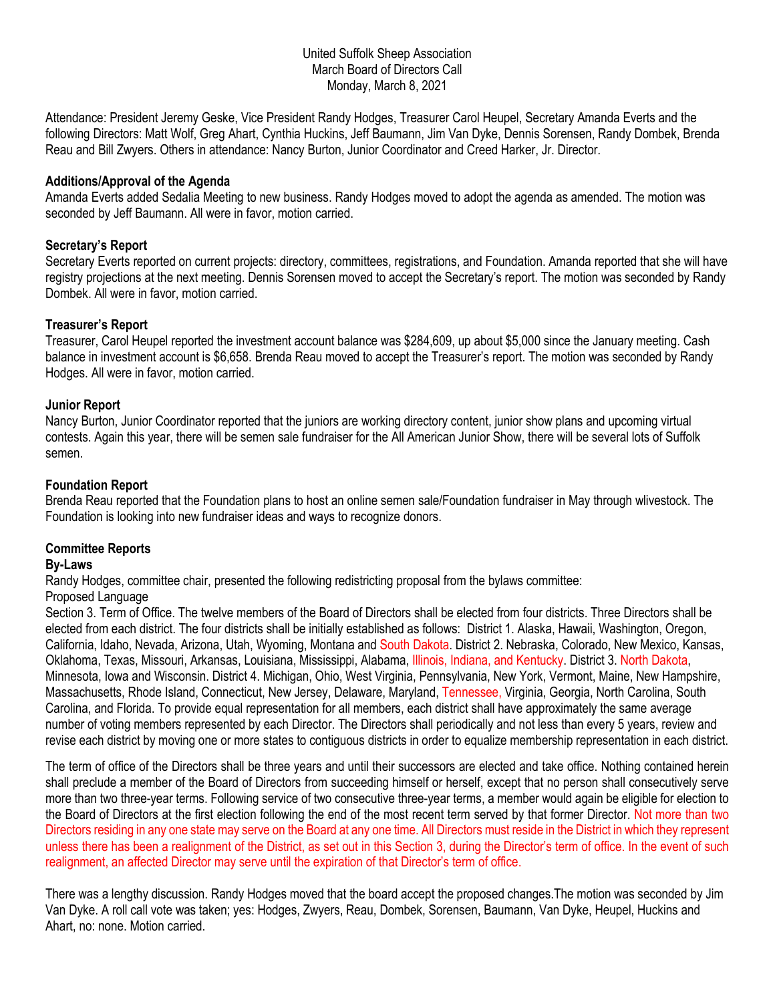#### United Suffolk Sheep Association March Board of Directors Call Monday, March 8, 2021

Attendance: President Jeremy Geske, Vice President Randy Hodges, Treasurer Carol Heupel, Secretary Amanda Everts and the following Directors: Matt Wolf, Greg Ahart, Cynthia Huckins, Jeff Baumann, Jim Van Dyke, Dennis Sorensen, Randy Dombek, Brenda Reau and Bill Zwyers. Others in attendance: Nancy Burton, Junior Coordinator and Creed Harker, Jr. Director.

## **Additions/Approval of the Agenda**

Amanda Everts added Sedalia Meeting to new business. Randy Hodges moved to adopt the agenda as amended. The motion was seconded by Jeff Baumann. All were in favor, motion carried.

## **Secretary's Report**

Secretary Everts reported on current projects: directory, committees, registrations, and Foundation. Amanda reported that she will have registry projections at the next meeting. Dennis Sorensen moved to accept the Secretary's report. The motion was seconded by Randy Dombek. All were in favor, motion carried.

## **Treasurer's Report**

Treasurer, Carol Heupel reported the investment account balance was \$284,609, up about \$5,000 since the January meeting. Cash balance in investment account is \$6,658. Brenda Reau moved to accept the Treasurer's report. The motion was seconded by Randy Hodges. All were in favor, motion carried.

## **Junior Report**

Nancy Burton, Junior Coordinator reported that the juniors are working directory content, junior show plans and upcoming virtual contests. Again this year, there will be semen sale fundraiser for the All American Junior Show, there will be several lots of Suffolk semen.

## **Foundation Report**

Brenda Reau reported that the Foundation plans to host an online semen sale/Foundation fundraiser in May through wlivestock. The Foundation is looking into new fundraiser ideas and ways to recognize donors.

# **Committee Reports**

#### **By-Laws**

Randy Hodges, committee chair, presented the following redistricting proposal from the bylaws committee: Proposed Language

Section 3. Term of Office. The twelve members of the Board of Directors shall be elected from four districts. Three Directors shall be elected from each district. The four districts shall be initially established as follows: District 1. Alaska, Hawaii, Washington, Oregon, California, Idaho, Nevada, Arizona, Utah, Wyoming, Montana and South Dakota. District 2. Nebraska, Colorado, New Mexico, Kansas, Oklahoma, Texas, Missouri, Arkansas, Louisiana, Mississippi, Alabama, Illinois, Indiana, and Kentucky. District 3. North Dakota, Minnesota, Iowa and Wisconsin. District 4. Michigan, Ohio, West Virginia, Pennsylvania, New York, Vermont, Maine, New Hampshire, Massachusetts, Rhode Island, Connecticut, New Jersey, Delaware, Maryland, Tennessee, Virginia, Georgia, North Carolina, South Carolina, and Florida. To provide equal representation for all members, each district shall have approximately the same average number of voting members represented by each Director. The Directors shall periodically and not less than every 5 years, review and revise each district by moving one or more states to contiguous districts in order to equalize membership representation in each district.

The term of office of the Directors shall be three years and until their successors are elected and take office. Nothing contained herein shall preclude a member of the Board of Directors from succeeding himself or herself, except that no person shall consecutively serve more than two three-year terms. Following service of two consecutive three-year terms, a member would again be eligible for election to the Board of Directors at the first election following the end of the most recent term served by that former Director. Not more than two Directors residing in any one state may serve on the Board at any one time. All Directors must reside in the District in which they represent unless there has been a realignment of the District, as set out in this Section 3, during the Director's term of office. In the event of such realignment, an affected Director may serve until the expiration of that Director's term of office.

There was a lengthy discussion. Randy Hodges moved that the board accept the proposed changes.The motion was seconded by Jim Van Dyke. A roll call vote was taken; yes: Hodges, Zwyers, Reau, Dombek, Sorensen, Baumann, Van Dyke, Heupel, Huckins and Ahart, no: none. Motion carried.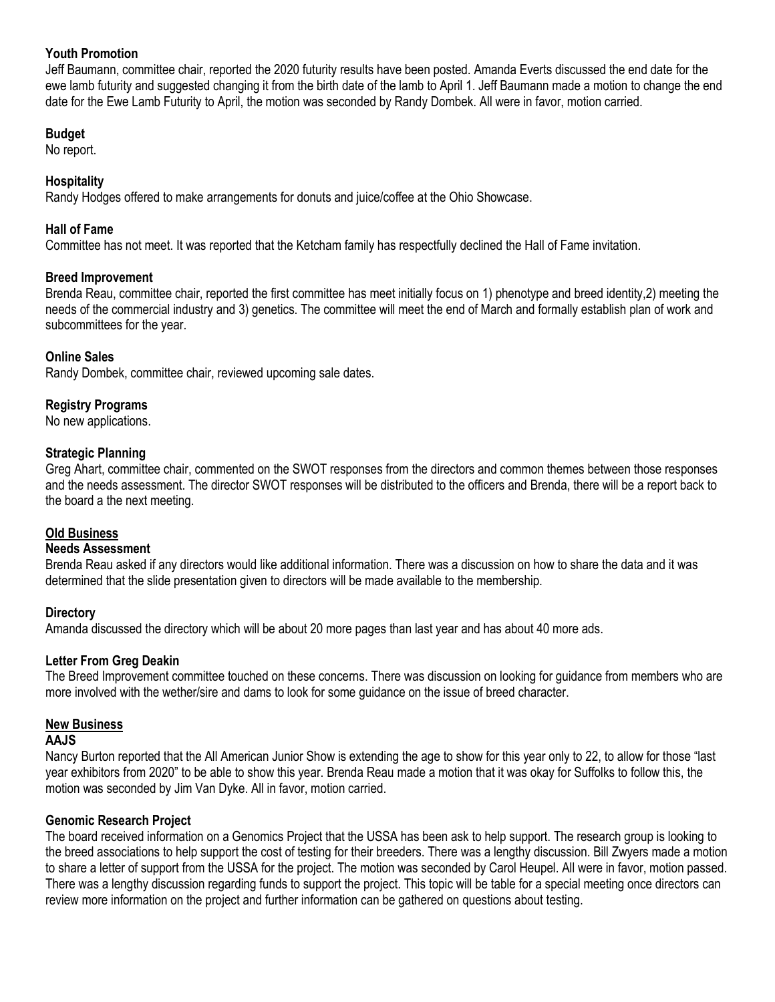# **Youth Promotion**

Jeff Baumann, committee chair, reported the 2020 futurity results have been posted. Amanda Everts discussed the end date for the ewe lamb futurity and suggested changing it from the birth date of the lamb to April 1. Jeff Baumann made a motion to change the end date for the Ewe Lamb Futurity to April, the motion was seconded by Randy Dombek. All were in favor, motion carried.

## **Budget**

No report.

# **Hospitality**

Randy Hodges offered to make arrangements for donuts and juice/coffee at the Ohio Showcase.

## **Hall of Fame**

Committee has not meet. It was reported that the Ketcham family has respectfully declined the Hall of Fame invitation.

## **Breed Improvement**

Brenda Reau, committee chair, reported the first committee has meet initially focus on 1) phenotype and breed identity,2) meeting the needs of the commercial industry and 3) genetics. The committee will meet the end of March and formally establish plan of work and subcommittees for the year.

## **Online Sales**

Randy Dombek, committee chair, reviewed upcoming sale dates.

# **Registry Programs**

No new applications.

## **Strategic Planning**

Greg Ahart, committee chair, commented on the SWOT responses from the directors and common themes between those responses and the needs assessment. The director SWOT responses will be distributed to the officers and Brenda, there will be a report back to the board a the next meeting.

#### **Old Business**

#### **Needs Assessment**

Brenda Reau asked if any directors would like additional information. There was a discussion on how to share the data and it was determined that the slide presentation given to directors will be made available to the membership.

# **Directory**

Amanda discussed the directory which will be about 20 more pages than last year and has about 40 more ads.

# **Letter From Greg Deakin**

The Breed Improvement committee touched on these concerns. There was discussion on looking for guidance from members who are more involved with the wether/sire and dams to look for some guidance on the issue of breed character.

#### **New Business**

## **AAJS**

Nancy Burton reported that the All American Junior Show is extending the age to show for this year only to 22, to allow for those "last year exhibitors from 2020" to be able to show this year. Brenda Reau made a motion that it was okay for Suffolks to follow this, the motion was seconded by Jim Van Dyke. All in favor, motion carried.

#### **Genomic Research Project**

The board received information on a Genomics Project that the USSA has been ask to help support. The research group is looking to the breed associations to help support the cost of testing for their breeders. There was a lengthy discussion. Bill Zwyers made a motion to share a letter of support from the USSA for the project. The motion was seconded by Carol Heupel. All were in favor, motion passed. There was a lengthy discussion regarding funds to support the project. This topic will be table for a special meeting once directors can review more information on the project and further information can be gathered on questions about testing.